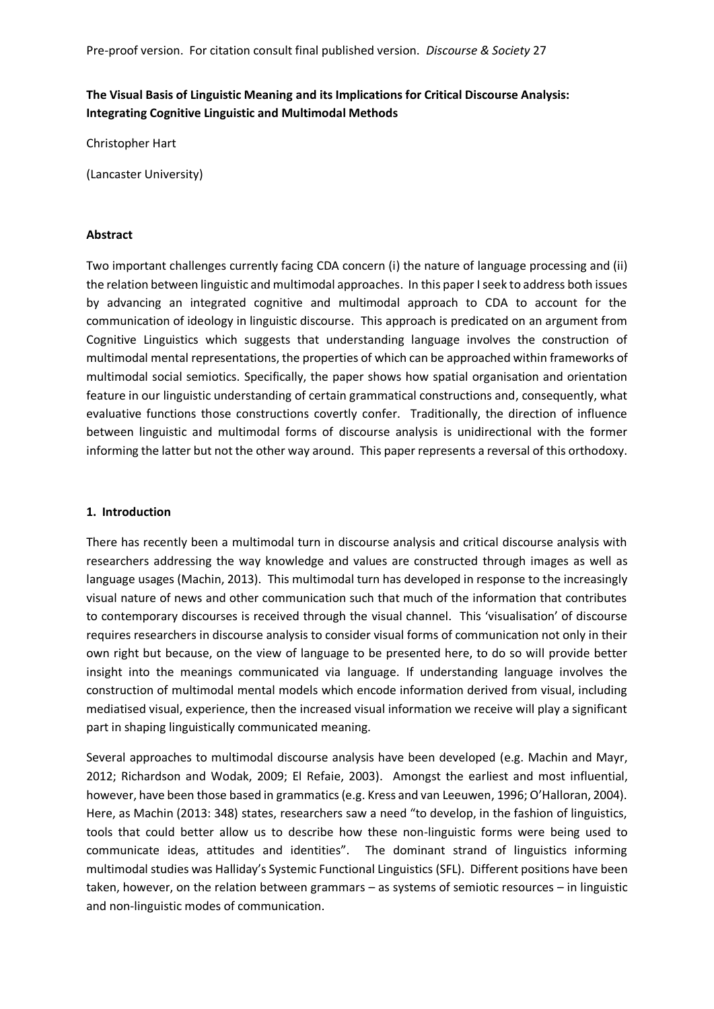# **The Visual Basis of Linguistic Meaning and its Implications for Critical Discourse Analysis: Integrating Cognitive Linguistic and Multimodal Methods**

Christopher Hart

(Lancaster University)

#### **Abstract**

Two important challenges currently facing CDA concern (i) the nature of language processing and (ii) the relation between linguistic and multimodal approaches. In this paper I seek to address both issues by advancing an integrated cognitive and multimodal approach to CDA to account for the communication of ideology in linguistic discourse. This approach is predicated on an argument from Cognitive Linguistics which suggests that understanding language involves the construction of multimodal mental representations, the properties of which can be approached within frameworks of multimodal social semiotics. Specifically, the paper shows how spatial organisation and orientation feature in our linguistic understanding of certain grammatical constructions and, consequently, what evaluative functions those constructions covertly confer. Traditionally, the direction of influence between linguistic and multimodal forms of discourse analysis is unidirectional with the former informing the latter but not the other way around. This paper represents a reversal of this orthodoxy.

### **1. Introduction**

There has recently been a multimodal turn in discourse analysis and critical discourse analysis with researchers addressing the way knowledge and values are constructed through images as well as language usages (Machin, 2013). This multimodal turn has developed in response to the increasingly visual nature of news and other communication such that much of the information that contributes to contemporary discourses is received through the visual channel. This 'visualisation' of discourse requires researchers in discourse analysis to consider visual forms of communication not only in their own right but because, on the view of language to be presented here, to do so will provide better insight into the meanings communicated via language. If understanding language involves the construction of multimodal mental models which encode information derived from visual, including mediatised visual, experience, then the increased visual information we receive will play a significant part in shaping linguistically communicated meaning.

Several approaches to multimodal discourse analysis have been developed (e.g. Machin and Mayr, 2012; Richardson and Wodak, 2009; El Refaie, 2003). Amongst the earliest and most influential, however, have been those based in grammatics (e.g. Kress and van Leeuwen, 1996; O'Halloran, 2004). Here, as Machin (2013: 348) states, researchers saw a need "to develop, in the fashion of linguistics, tools that could better allow us to describe how these non-linguistic forms were being used to communicate ideas, attitudes and identities". The dominant strand of linguistics informing multimodal studies was Halliday's Systemic Functional Linguistics (SFL). Different positions have been taken, however, on the relation between grammars – as systems of semiotic resources – in linguistic and non-linguistic modes of communication.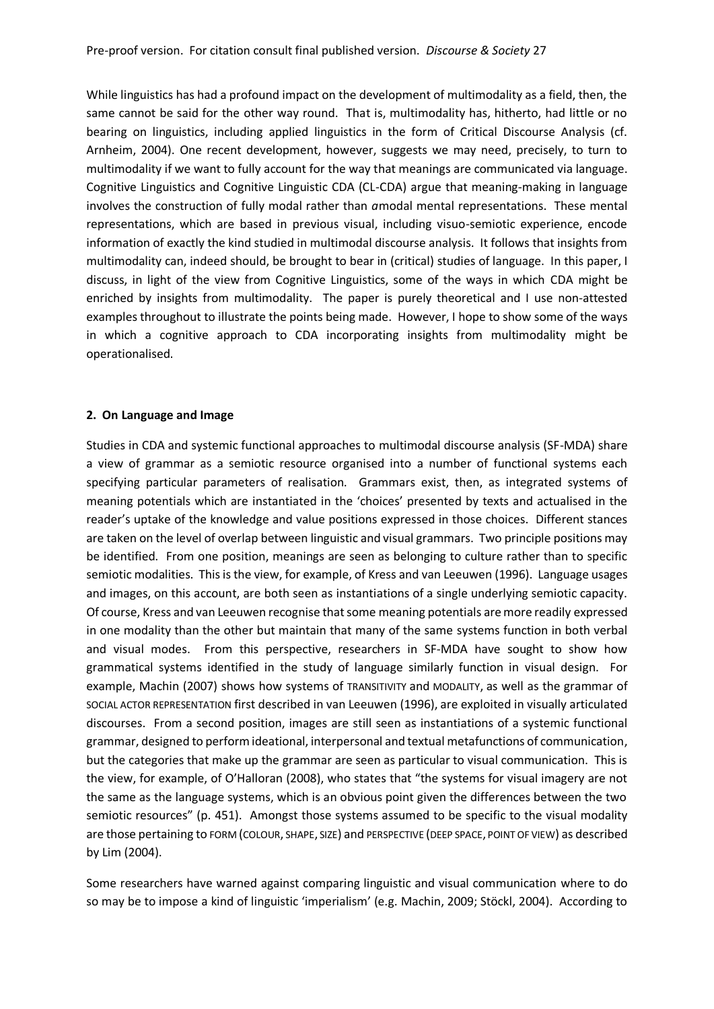While linguistics has had a profound impact on the development of multimodality as a field, then, the same cannot be said for the other way round. That is, multimodality has, hitherto, had little or no bearing on linguistics, including applied linguistics in the form of Critical Discourse Analysis (cf. Arnheim, 2004). One recent development, however, suggests we may need, precisely, to turn to multimodality if we want to fully account for the way that meanings are communicated via language. Cognitive Linguistics and Cognitive Linguistic CDA (CL-CDA) argue that meaning-making in language involves the construction of fully modal rather than *a*modal mental representations. These mental representations, which are based in previous visual, including visuo-semiotic experience, encode information of exactly the kind studied in multimodal discourse analysis. It follows that insights from multimodality can, indeed should, be brought to bear in (critical) studies of language. In this paper, I discuss, in light of the view from Cognitive Linguistics, some of the ways in which CDA might be enriched by insights from multimodality. The paper is purely theoretical and I use non-attested examples throughout to illustrate the points being made. However, I hope to show some of the ways in which a cognitive approach to CDA incorporating insights from multimodality might be operationalised.

#### **2. On Language and Image**

Studies in CDA and systemic functional approaches to multimodal discourse analysis (SF-MDA) share a view of grammar as a semiotic resource organised into a number of functional systems each specifying particular parameters of realisation. Grammars exist, then, as integrated systems of meaning potentials which are instantiated in the 'choices' presented by texts and actualised in the reader's uptake of the knowledge and value positions expressed in those choices. Different stances are taken on the level of overlap between linguistic and visual grammars. Two principle positions may be identified. From one position, meanings are seen as belonging to culture rather than to specific semiotic modalities. This is the view, for example, of Kress and van Leeuwen (1996). Language usages and images, on this account, are both seen as instantiations of a single underlying semiotic capacity. Of course, Kress and van Leeuwen recognise that some meaning potentials are more readily expressed in one modality than the other but maintain that many of the same systems function in both verbal and visual modes. From this perspective, researchers in SF-MDA have sought to show how grammatical systems identified in the study of language similarly function in visual design. For example, Machin (2007) shows how systems of TRANSITIVITY and MODALITY, as well as the grammar of SOCIAL ACTOR REPRESENTATION first described in van Leeuwen (1996), are exploited in visually articulated discourses. From a second position, images are still seen as instantiations of a systemic functional grammar, designed to perform ideational, interpersonal and textual metafunctions of communication, but the categories that make up the grammar are seen as particular to visual communication. This is the view, for example, of O'Halloran (2008), who states that "the systems for visual imagery are not the same as the language systems, which is an obvious point given the differences between the two semiotic resources" (p. 451). Amongst those systems assumed to be specific to the visual modality are those pertaining to FORM (COLOUR, SHAPE, SIZE) and PERSPECTIVE (DEEP SPACE, POINT OF VIEW) as described by Lim (2004).

Some researchers have warned against comparing linguistic and visual communication where to do so may be to impose a kind of linguistic 'imperialism' (e.g. Machin, 2009; Stöckl, 2004). According to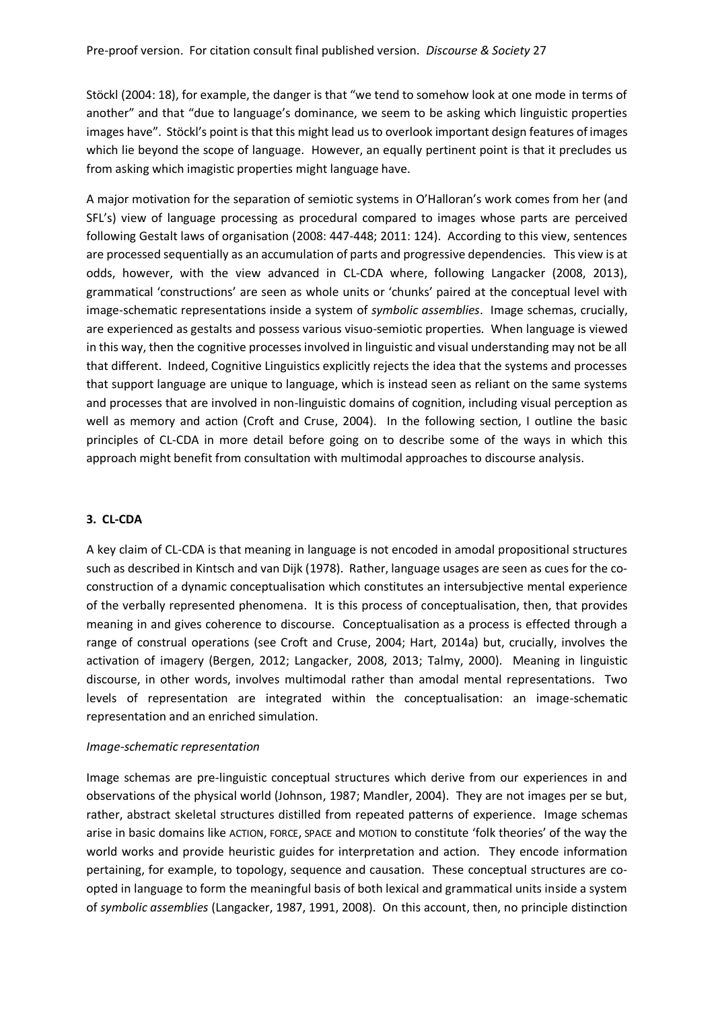Stöckl (2004: 18), for example, the danger is that "we tend to somehow look at one mode in terms of another" and that "due to language's dominance, we seem to be asking which linguistic properties images have". Stöckl's point is that this might lead us to overlook important design features of images which lie beyond the scope of language. However, an equally pertinent point is that it precludes us from asking which imagistic properties might language have.

A major motivation for the separation of semiotic systems in O'Halloran's work comes from her (and SFL's) view of language processing as procedural compared to images whose parts are perceived following Gestalt laws of organisation (2008: 447-448; 2011: 124). According to this view, sentences are processed sequentially as an accumulation of parts and progressive dependencies. This view is at odds, however, with the view advanced in CL-CDA where, following Langacker (2008, 2013), grammatical 'constructions' are seen as whole units or 'chunks' paired at the conceptual level with image-schematic representations inside a system of *symbolic assemblies*. Image schemas, crucially, are experienced as gestalts and possess various visuo-semiotic properties. When language is viewed in this way, then the cognitive processes involved in linguistic and visual understanding may not be all that different. Indeed, Cognitive Linguistics explicitly rejects the idea that the systems and processes that support language are unique to language, which is instead seen as reliant on the same systems and processes that are involved in non-linguistic domains of cognition, including visual perception as well as memory and action (Croft and Cruse, 2004). In the following section, I outline the basic principles of CL-CDA in more detail before going on to describe some of the ways in which this approach might benefit from consultation with multimodal approaches to discourse analysis.

### **3. CL-CDA**

A key claim of CL-CDA is that meaning in language is not encoded in amodal propositional structures such as described in Kintsch and van Dijk (1978). Rather, language usages are seen as cues for the coconstruction of a dynamic conceptualisation which constitutes an intersubjective mental experience of the verbally represented phenomena. It is this process of conceptualisation, then, that provides meaning in and gives coherence to discourse. Conceptualisation as a process is effected through a range of construal operations (see Croft and Cruse, 2004; Hart, 2014a) but, crucially, involves the activation of imagery (Bergen, 2012; Langacker, 2008, 2013; Talmy, 2000). Meaning in linguistic discourse, in other words, involves multimodal rather than amodal mental representations. Two levels of representation are integrated within the conceptualisation: an image-schematic representation and an enriched simulation.

#### *Image-schematic representation*

Image schemas are pre-linguistic conceptual structures which derive from our experiences in and observations of the physical world (Johnson, 1987; Mandler, 2004). They are not images per se but, rather, abstract skeletal structures distilled from repeated patterns of experience. Image schemas arise in basic domains like ACTION, FORCE, SPACE and MOTION to constitute 'folk theories' of the way the world works and provide heuristic guides for interpretation and action. They encode information pertaining, for example, to topology, sequence and causation. These conceptual structures are coopted in language to form the meaningful basis of both lexical and grammatical units inside a system of *symbolic assemblies* (Langacker, 1987, 1991, 2008). On this account, then, no principle distinction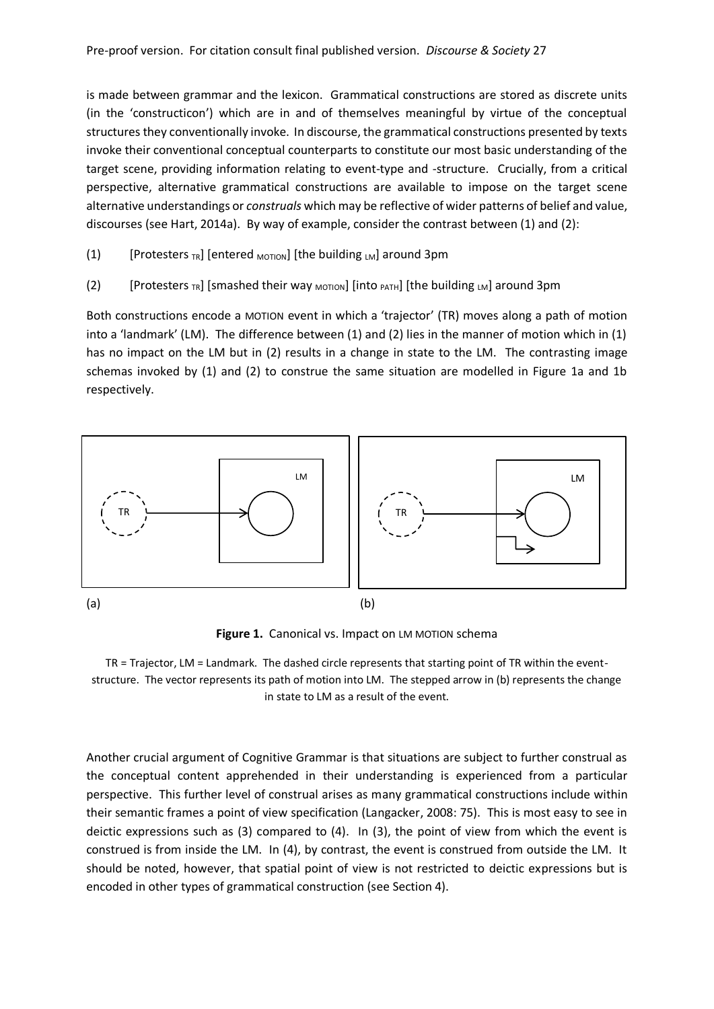is made between grammar and the lexicon. Grammatical constructions are stored as discrete units (in the 'constructicon') which are in and of themselves meaningful by virtue of the conceptual structures they conventionally invoke. In discourse, the grammatical constructions presented by texts invoke their conventional conceptual counterparts to constitute our most basic understanding of the target scene, providing information relating to event-type and -structure. Crucially, from a critical perspective, alternative grammatical constructions are available to impose on the target scene alternative understandings or *construals* which may be reflective of wider patterns of belief and value, discourses (see Hart, 2014a). By way of example, consider the contrast between (1) and (2):

- (1) [Protesters  $TR$ ] [entered  $M$ <sub>MOTION</sub>] [the building  $LM$ ] around 3pm
- (2) [Protesters <sub>TR</sub>] [smashed their way <sub>MOTION</sub>] [into <sub>PATH</sub>] [the building <sub>LM</sub>] around 3pm

Both constructions encode a MOTION event in which a 'trajector' (TR) moves along a path of motion into a 'landmark' (LM). The difference between (1) and (2) lies in the manner of motion which in (1) has no impact on the LM but in (2) results in a change in state to the LM. The contrasting image schemas invoked by (1) and (2) to construe the same situation are modelled in Figure 1a and 1b respectively.



**Figure 1.** Canonical vs. Impact on LM MOTION schema

TR = Trajector, LM = Landmark. The dashed circle represents that starting point of TR within the eventstructure. The vector represents its path of motion into LM. The stepped arrow in (b) represents the change in state to LM as a result of the event.

Another crucial argument of Cognitive Grammar is that situations are subject to further construal as the conceptual content apprehended in their understanding is experienced from a particular perspective. This further level of construal arises as many grammatical constructions include within their semantic frames a point of view specification (Langacker, 2008: 75). This is most easy to see in deictic expressions such as (3) compared to (4). In (3), the point of view from which the event is construed is from inside the LM. In (4), by contrast, the event is construed from outside the LM. It should be noted, however, that spatial point of view is not restricted to deictic expressions but is encoded in other types of grammatical construction (see Section 4).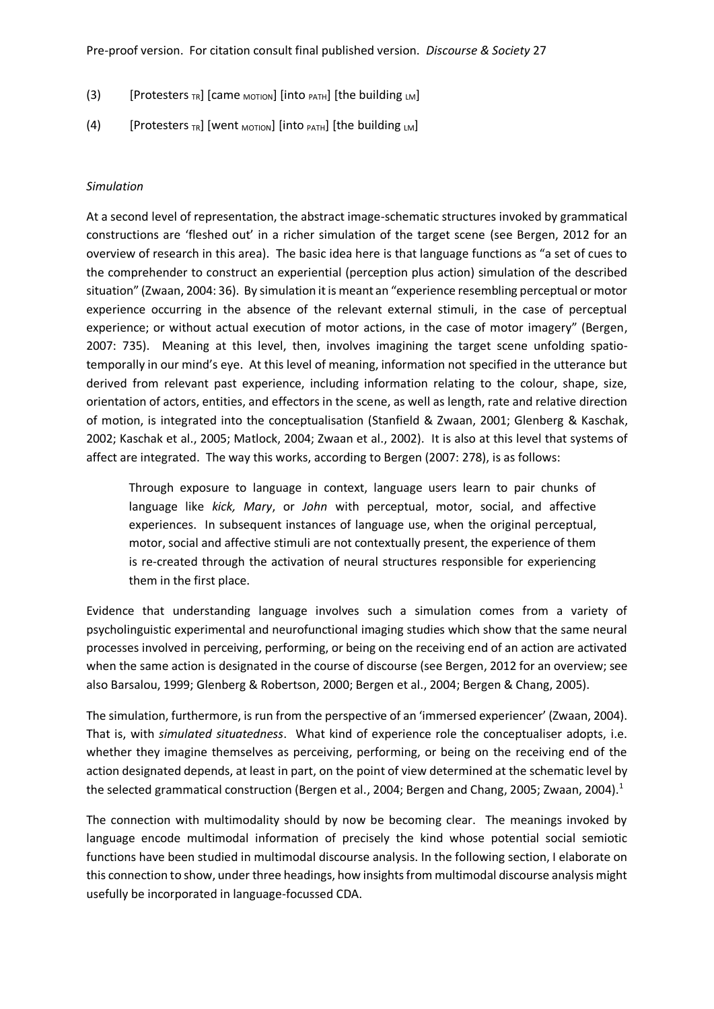- (3) [Protesters <sub>TR</sub>] [came <sub>MOTION</sub>] [into  $_{PATH}$ ] [the building  $_{LM}$ ]
- (4) [Protesters  $_{TR}$ ] [went <sub>MOTION</sub>] [into  $_{PATH}$ ] [the building  $_{LM}$ ]

#### *Simulation*

At a second level of representation, the abstract image-schematic structures invoked by grammatical constructions are 'fleshed out' in a richer simulation of the target scene (see Bergen, 2012 for an overview of research in this area). The basic idea here is that language functions as "a set of cues to the comprehender to construct an experiential (perception plus action) simulation of the described situation" (Zwaan, 2004: 36). By simulation it is meant an "experience resembling perceptual or motor experience occurring in the absence of the relevant external stimuli, in the case of perceptual experience; or without actual execution of motor actions, in the case of motor imagery" (Bergen, 2007: 735). Meaning at this level, then, involves imagining the target scene unfolding spatiotemporally in our mind's eye. At this level of meaning, information not specified in the utterance but derived from relevant past experience, including information relating to the colour, shape, size, orientation of actors, entities, and effectors in the scene, as well as length, rate and relative direction of motion, is integrated into the conceptualisation (Stanfield & Zwaan, 2001; Glenberg & Kaschak, 2002; Kaschak et al., 2005; Matlock, 2004; Zwaan et al., 2002). It is also at this level that systems of affect are integrated. The way this works, according to Bergen (2007: 278), is as follows:

Through exposure to language in context, language users learn to pair chunks of language like *kick, Mary*, or *John* with perceptual, motor, social, and affective experiences. In subsequent instances of language use, when the original perceptual, motor, social and affective stimuli are not contextually present, the experience of them is re-created through the activation of neural structures responsible for experiencing them in the first place.

Evidence that understanding language involves such a simulation comes from a variety of psycholinguistic experimental and neurofunctional imaging studies which show that the same neural processes involved in perceiving, performing, or being on the receiving end of an action are activated when the same action is designated in the course of discourse (see Bergen, 2012 for an overview; see also Barsalou, 1999; Glenberg & Robertson, 2000; Bergen et al., 2004; Bergen & Chang, 2005).

The simulation, furthermore, is run from the perspective of an 'immersed experiencer' (Zwaan, 2004). That is, with *simulated situatedness*. What kind of experience role the conceptualiser adopts, i.e. whether they imagine themselves as perceiving, performing, or being on the receiving end of the action designated depends, at least in part, on the point of view determined at the schematic level by the selected grammatical construction (Bergen et al., 2004; Bergen and Chang, 2005; Zwaan, 2004).<sup>1</sup>

The connection with multimodality should by now be becoming clear. The meanings invoked by language encode multimodal information of precisely the kind whose potential social semiotic functions have been studied in multimodal discourse analysis. In the following section, I elaborate on this connection to show, under three headings, how insights from multimodal discourse analysis might usefully be incorporated in language-focussed CDA.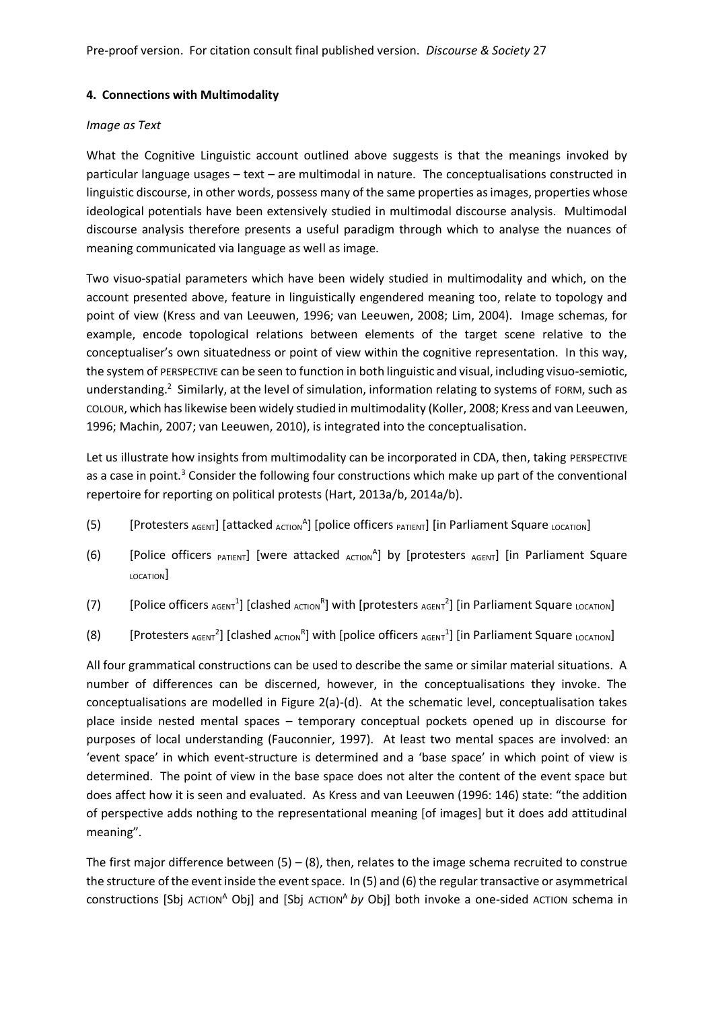Pre-proof version. For citation consult final published version. *Discourse & Society* 27

### **4. Connections with Multimodality**

#### *Image as Text*

What the Cognitive Linguistic account outlined above suggests is that the meanings invoked by particular language usages – text – are multimodal in nature. The conceptualisations constructed in linguistic discourse, in other words, possess many of the same properties as images, properties whose ideological potentials have been extensively studied in multimodal discourse analysis. Multimodal discourse analysis therefore presents a useful paradigm through which to analyse the nuances of meaning communicated via language as well as image.

Two visuo-spatial parameters which have been widely studied in multimodality and which, on the account presented above, feature in linguistically engendered meaning too, relate to topology and point of view (Kress and van Leeuwen, 1996; van Leeuwen, 2008; Lim, 2004). Image schemas, for example, encode topological relations between elements of the target scene relative to the conceptualiser's own situatedness or point of view within the cognitive representation. In this way, the system of PERSPECTIVE can be seen to function in both linguistic and visual, including visuo-semiotic, understanding.<sup>2</sup> Similarly, at the level of simulation, information relating to systems of FORM, such as COLOUR, which haslikewise been widely studied in multimodality (Koller, 2008; Kress and van Leeuwen, 1996; Machin, 2007; van Leeuwen, 2010), is integrated into the conceptualisation.

Let us illustrate how insights from multimodality can be incorporated in CDA, then, taking PERSPECTIVE as a case in point.<sup>3</sup> Consider the following four constructions which make up part of the conventional repertoire for reporting on political protests (Hart, 2013a/b, 2014a/b).

- (5) [Protesters  $_{AGENT}$ ] [attacked  $_{AGTION}$ <sup>A</sup>] [police officers  $_{PATHIT}$ ] [in Parliament Square LOCATION]
- (6) [Police officers PATIENT] [were attacked  $_{\text{ACTION}}$ <sup>A</sup>] by [protesters  $_{\text{AGENT}}$ ] [in Parliament Square LOCATION]
- (7) [Police officers  $_{AGENT}$ <sup>1</sup>] [clashed  $_{ACTION}$ <sup>R</sup>] with [protesters  $_{AGENT}$ <sup>2</sup>] [in Parliament Square  $_{LOGITION}$ ]
- (8) [Protesters  $_{AGENT}$ <sup>2</sup>] [clashed  $_{AGTION}$ <sup>R</sup>] with [police officers  $_{AGENT}$ <sup>1</sup>] [in Parliament Square  $_{LOGTION}$ ]

All four grammatical constructions can be used to describe the same or similar material situations. A number of differences can be discerned, however, in the conceptualisations they invoke. The conceptualisations are modelled in Figure 2(a)-(d). At the schematic level, conceptualisation takes place inside nested mental spaces – temporary conceptual pockets opened up in discourse for purposes of local understanding (Fauconnier, 1997). At least two mental spaces are involved: an 'event space' in which event-structure is determined and a 'base space' in which point of view is determined. The point of view in the base space does not alter the content of the event space but does affect how it is seen and evaluated. As Kress and van Leeuwen (1996: 146) state: "the addition of perspective adds nothing to the representational meaning [of images] but it does add attitudinal meaning".

The first major difference between  $(5) - (8)$ , then, relates to the image schema recruited to construe the structure of the event inside the event space. In (5) and (6) the regular transactive or asymmetrical constructions [Sbj ACTION<sup>A</sup> Obj] and [Sbj ACTION<sup>A</sup> by Obj] both invoke a one-sided ACTION schema in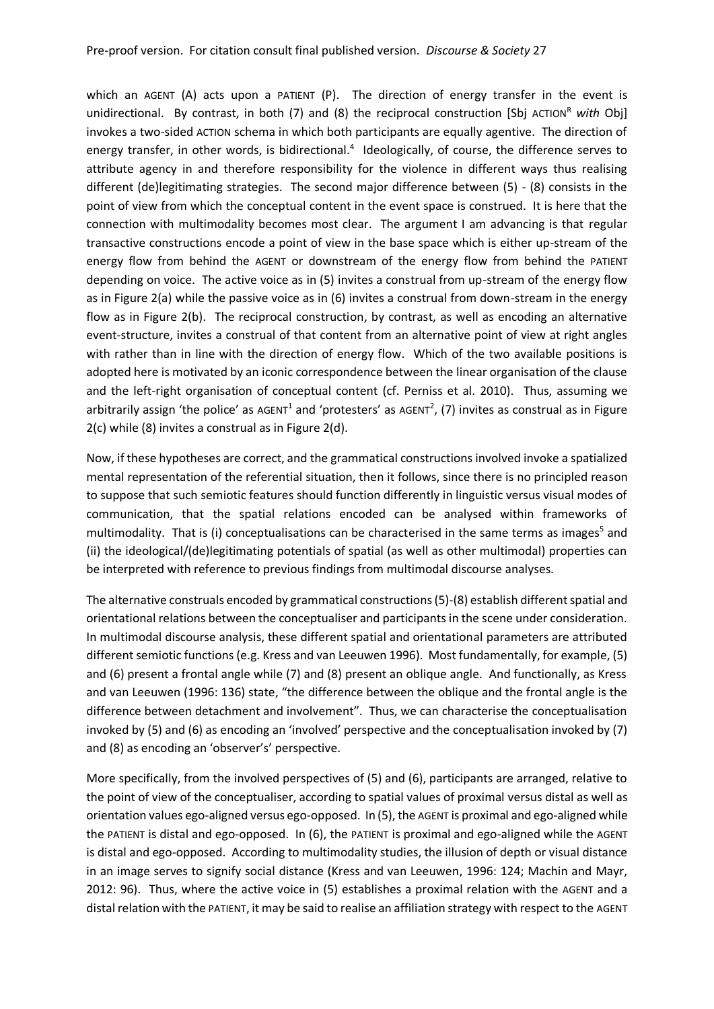which an AGENT (A) acts upon a PATIENT (P). The direction of energy transfer in the event is unidirectional. By contrast, in both (7) and (8) the reciprocal construction [Sbj ACTION<sup>R</sup> with Obj] invokes a two-sided ACTION schema in which both participants are equally agentive. The direction of energy transfer, in other words, is bidirectional.<sup>4</sup> Ideologically, of course, the difference serves to attribute agency in and therefore responsibility for the violence in different ways thus realising different (de)legitimating strategies. The second major difference between (5) - (8) consists in the point of view from which the conceptual content in the event space is construed. It is here that the connection with multimodality becomes most clear. The argument I am advancing is that regular transactive constructions encode a point of view in the base space which is either up-stream of the energy flow from behind the AGENT or downstream of the energy flow from behind the PATIENT depending on voice. The active voice as in (5) invites a construal from up-stream of the energy flow as in Figure 2(a) while the passive voice as in (6) invites a construal from down-stream in the energy flow as in Figure 2(b). The reciprocal construction, by contrast, as well as encoding an alternative event-structure, invites a construal of that content from an alternative point of view at right angles with rather than in line with the direction of energy flow. Which of the two available positions is adopted here is motivated by an iconic correspondence between the linear organisation of the clause and the left-right organisation of conceptual content (cf. Perniss et al. 2010). Thus, assuming we arbitrarily assign 'the police' as AGENT<sup>1</sup> and 'protesters' as AGENT<sup>2</sup>, (7) invites as construal as in Figure 2(c) while (8) invites a construal as in Figure 2(d).

Now, if these hypotheses are correct, and the grammatical constructions involved invoke a spatialized mental representation of the referential situation, then it follows, since there is no principled reason to suppose that such semiotic features should function differently in linguistic versus visual modes of communication, that the spatial relations encoded can be analysed within frameworks of multimodality. That is (i) conceptualisations can be characterised in the same terms as images<sup>5</sup> and (ii) the ideological/(de)legitimating potentials of spatial (as well as other multimodal) properties can be interpreted with reference to previous findings from multimodal discourse analyses.

The alternative construals encoded by grammatical constructions (5)-(8) establish different spatial and orientational relations between the conceptualiser and participants in the scene under consideration. In multimodal discourse analysis, these different spatial and orientational parameters are attributed different semiotic functions (e.g. Kress and van Leeuwen 1996). Most fundamentally, for example, (5) and (6) present a frontal angle while (7) and (8) present an oblique angle. And functionally, as Kress and van Leeuwen (1996: 136) state, "the difference between the oblique and the frontal angle is the difference between detachment and involvement". Thus, we can characterise the conceptualisation invoked by (5) and (6) as encoding an 'involved' perspective and the conceptualisation invoked by (7) and (8) as encoding an 'observer's' perspective.

More specifically, from the involved perspectives of (5) and (6), participants are arranged, relative to the point of view of the conceptualiser, according to spatial values of proximal versus distal as well as orientation values ego-aligned versus ego-opposed. In (5), the AGENT is proximal and ego-aligned while the PATIENT is distal and ego-opposed. In (6), the PATIENT is proximal and ego-aligned while the AGENT is distal and ego-opposed. According to multimodality studies, the illusion of depth or visual distance in an image serves to signify social distance (Kress and van Leeuwen, 1996: 124; Machin and Mayr, 2012: 96). Thus, where the active voice in (5) establishes a proximal relation with the AGENT and a distal relation with the PATIENT, it may be said to realise an affiliation strategy with respect to the AGENT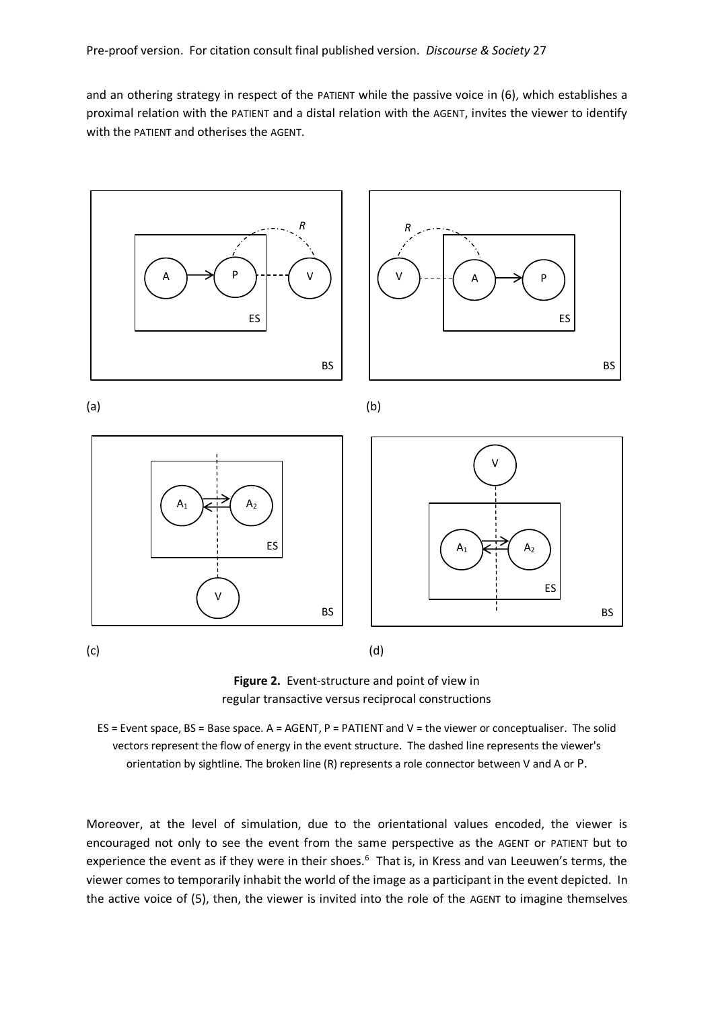and an othering strategy in respect of the PATIENT while the passive voice in (6), which establishes a proximal relation with the PATIENT and a distal relation with the AGENT, invites the viewer to identify with the PATIENT and otherises the AGENT.



**Figure 2.** Event-structure and point of view in regular transactive versus reciprocal constructions

ES = Event space, BS = Base space. A = AGENT, P = PATIENT and V = the viewer or conceptualiser. The solid vectors represent the flow of energy in the event structure. The dashed line represents the viewer's orientation by sightline. The broken line (R) represents a role connector between V and A or P.

Moreover, at the level of simulation, due to the orientational values encoded, the viewer is encouraged not only to see the event from the same perspective as the AGENT or PATIENT but to experience the event as if they were in their shoes.<sup>6</sup> That is, in Kress and van Leeuwen's terms, the viewer comes to temporarily inhabit the world of the image as a participant in the event depicted. In the active voice of (5), then, the viewer is invited into the role of the AGENT to imagine themselves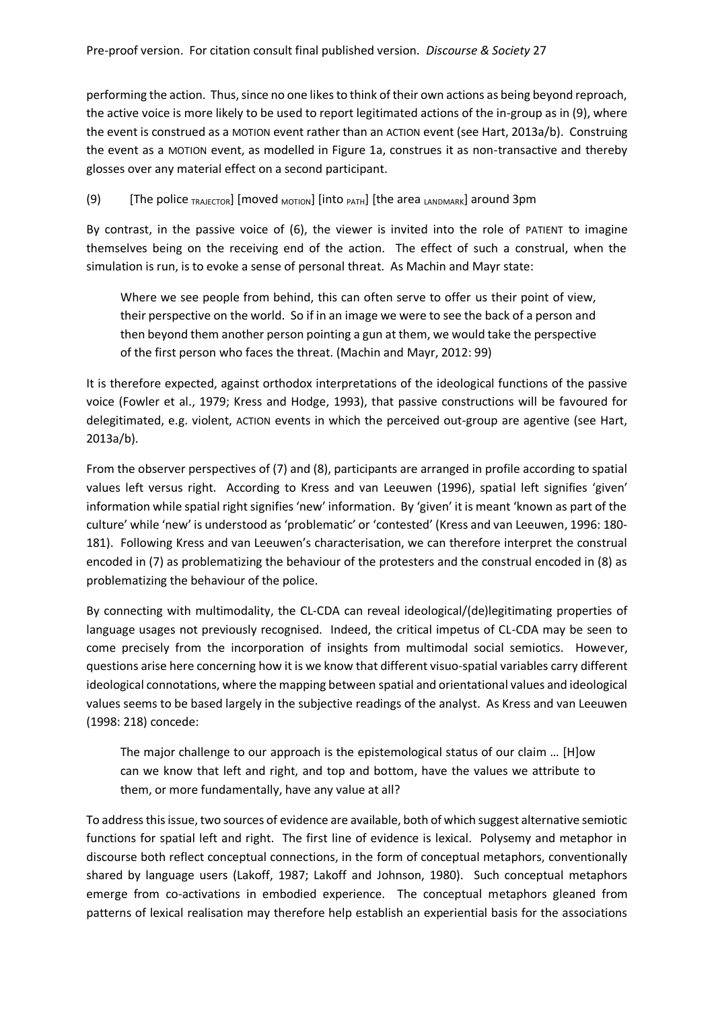performing the action. Thus, since no one likes to think of their own actions as being beyond reproach, the active voice is more likely to be used to report legitimated actions of the in-group as in (9), where the event is construed as a MOTION event rather than an ACTION event (see Hart, 2013a/b). Construing the event as a MOTION event, as modelled in Figure 1a, construes it as non-transactive and thereby glosses over any material effect on a second participant.

(9)  $[The police_{TRAJECTOR}]$   $[moveed_{MOTION}]$   $[into_{PATH}]$   $[the area_{LANDMARK}]$  around 3pm

By contrast, in the passive voice of (6), the viewer is invited into the role of PATIENT to imagine themselves being on the receiving end of the action. The effect of such a construal, when the simulation is run, is to evoke a sense of personal threat. As Machin and Mayr state:

Where we see people from behind, this can often serve to offer us their point of view, their perspective on the world. So if in an image we were to see the back of a person and then beyond them another person pointing a gun at them, we would take the perspective of the first person who faces the threat. (Machin and Mayr, 2012: 99)

It is therefore expected, against orthodox interpretations of the ideological functions of the passive voice (Fowler et al., 1979; Kress and Hodge, 1993), that passive constructions will be favoured for delegitimated, e.g. violent, ACTION events in which the perceived out-group are agentive (see Hart, 2013a/b).

From the observer perspectives of (7) and (8), participants are arranged in profile according to spatial values left versus right. According to Kress and van Leeuwen (1996), spatial left signifies 'given' information while spatial right signifies 'new' information. By 'given' it is meant 'known as part of the culture' while 'new' is understood as 'problematic' or 'contested' (Kress and van Leeuwen, 1996: 180- 181). Following Kress and van Leeuwen's characterisation, we can therefore interpret the construal encoded in (7) as problematizing the behaviour of the protesters and the construal encoded in (8) as problematizing the behaviour of the police.

By connecting with multimodality, the CL-CDA can reveal ideological/(de)legitimating properties of language usages not previously recognised. Indeed, the critical impetus of CL-CDA may be seen to come precisely from the incorporation of insights from multimodal social semiotics. However, questions arise here concerning how it is we know that different visuo-spatial variables carry different ideological connotations, where the mapping between spatial and orientational values and ideological values seems to be based largely in the subjective readings of the analyst. As Kress and van Leeuwen (1998: 218) concede:

The major challenge to our approach is the epistemological status of our claim … [H]ow can we know that left and right, and top and bottom, have the values we attribute to them, or more fundamentally, have any value at all?

To address this issue, two sources of evidence are available, both of which suggest alternative semiotic functions for spatial left and right. The first line of evidence is lexical. Polysemy and metaphor in discourse both reflect conceptual connections, in the form of conceptual metaphors, conventionally shared by language users (Lakoff, 1987; Lakoff and Johnson, 1980). Such conceptual metaphors emerge from co-activations in embodied experience. The conceptual metaphors gleaned from patterns of lexical realisation may therefore help establish an experiential basis for the associations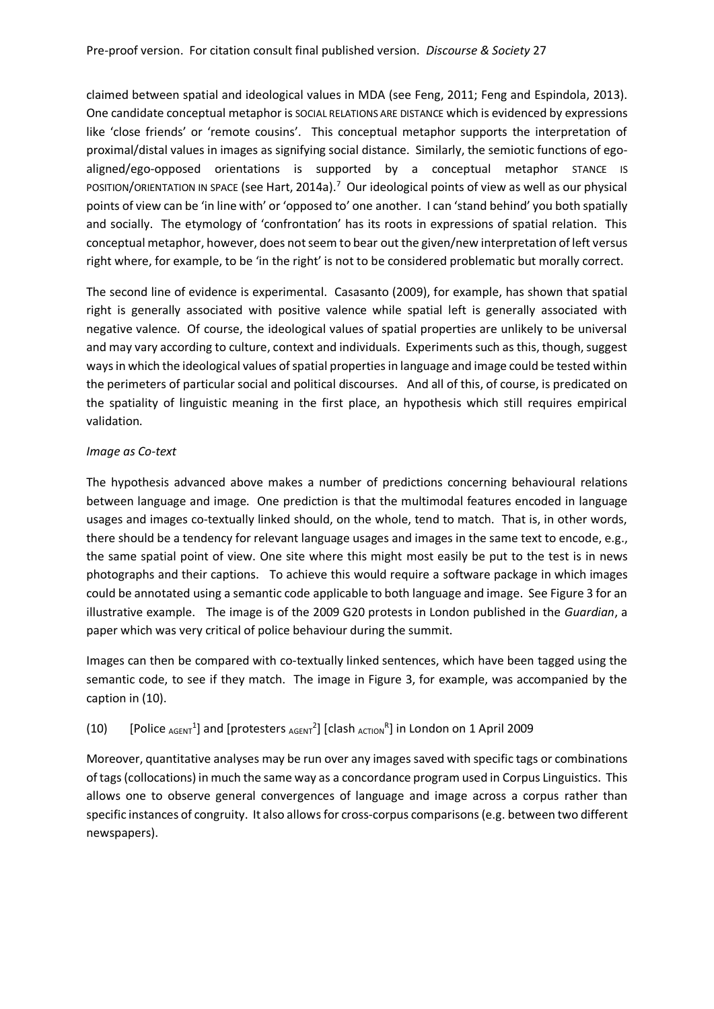claimed between spatial and ideological values in MDA (see Feng, 2011; Feng and Espindola, 2013). One candidate conceptual metaphor is SOCIAL RELATIONS ARE DISTANCE which is evidenced by expressions like 'close friends' or 'remote cousins'. This conceptual metaphor supports the interpretation of proximal/distal values in images as signifying social distance. Similarly, the semiotic functions of egoaligned/ego-opposed orientations is supported by a conceptual metaphor STANCE IS POSITION/ORIENTATION IN SPACE (see Hart, 2014a).<sup>7</sup> Our ideological points of view as well as our physical points of view can be 'in line with' or 'opposed to' one another. I can 'stand behind' you both spatially and socially. The etymology of 'confrontation' has its roots in expressions of spatial relation. This conceptual metaphor, however, does not seem to bear out the given/new interpretation of left versus right where, for example, to be 'in the right' is not to be considered problematic but morally correct.

The second line of evidence is experimental. Casasanto (2009), for example, has shown that spatial right is generally associated with positive valence while spatial left is generally associated with negative valence. Of course, the ideological values of spatial properties are unlikely to be universal and may vary according to culture, context and individuals. Experiments such as this, though, suggest ways in which the ideological values of spatial properties in language and image could be tested within the perimeters of particular social and political discourses. And all of this, of course, is predicated on the spatiality of linguistic meaning in the first place, an hypothesis which still requires empirical validation.

#### *Image as Co-text*

The hypothesis advanced above makes a number of predictions concerning behavioural relations between language and image. One prediction is that the multimodal features encoded in language usages and images co-textually linked should, on the whole, tend to match. That is, in other words, there should be a tendency for relevant language usages and images in the same text to encode, e.g., the same spatial point of view. One site where this might most easily be put to the test is in news photographs and their captions. To achieve this would require a software package in which images could be annotated using a semantic code applicable to both language and image. See Figure 3 for an illustrative example. The image is of the 2009 G20 protests in London published in the *Guardian*, a paper which was very critical of police behaviour during the summit.

Images can then be compared with co-textually linked sentences, which have been tagged using the semantic code, to see if they match. The image in Figure 3, for example, was accompanied by the caption in (10).

## (10) [Police  $_{AGENT}$ <sup>1</sup>] and [protesters  $_{AGENT}$ <sup>2</sup>] [clash  $_{AGTION}$ <sup>R</sup>] in London on 1 April 2009

Moreover, quantitative analyses may be run over any images saved with specific tags or combinations of tags (collocations) in much the same way as a concordance program used in Corpus Linguistics. This allows one to observe general convergences of language and image across a corpus rather than specific instances of congruity. It also allows for cross-corpus comparisons (e.g. between two different newspapers).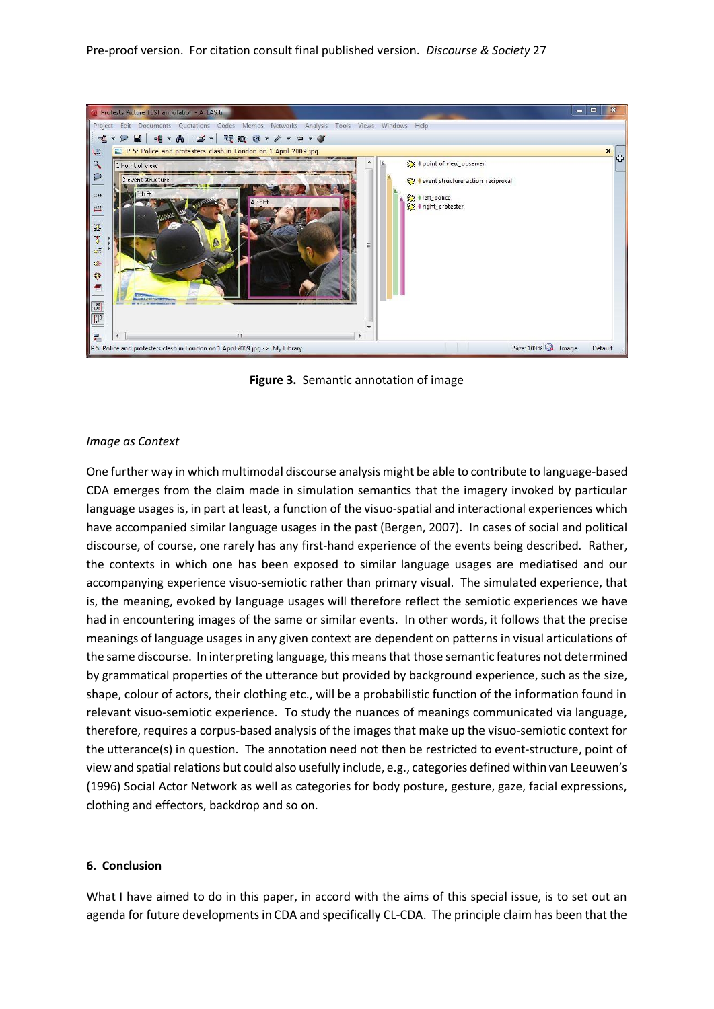Pre-proof version. For citation consult final published version. *Discourse & Society* 27



**Figure 3.** Semantic annotation of image

#### *Image as Context*

One further way in which multimodal discourse analysis might be able to contribute to language-based CDA emerges from the claim made in simulation semantics that the imagery invoked by particular language usages is, in part at least, a function of the visuo-spatial and interactional experiences which have accompanied similar language usages in the past (Bergen, 2007). In cases of social and political discourse, of course, one rarely has any first-hand experience of the events being described. Rather, the contexts in which one has been exposed to similar language usages are mediatised and our accompanying experience visuo-semiotic rather than primary visual. The simulated experience, that is, the meaning, evoked by language usages will therefore reflect the semiotic experiences we have had in encountering images of the same or similar events. In other words, it follows that the precise meanings of language usages in any given context are dependent on patterns in visual articulations of the same discourse. In interpreting language, this means that those semantic features not determined by grammatical properties of the utterance but provided by background experience, such as the size, shape, colour of actors, their clothing etc., will be a probabilistic function of the information found in relevant visuo-semiotic experience. To study the nuances of meanings communicated via language, therefore, requires a corpus-based analysis of the images that make up the visuo-semiotic context for the utterance(s) in question. The annotation need not then be restricted to event-structure, point of view and spatial relations but could also usefully include, e.g., categories defined within van Leeuwen's (1996) Social Actor Network as well as categories for body posture, gesture, gaze, facial expressions, clothing and effectors, backdrop and so on.

#### **6. Conclusion**

What I have aimed to do in this paper, in accord with the aims of this special issue, is to set out an agenda for future developments in CDA and specifically CL-CDA. The principle claim has been that the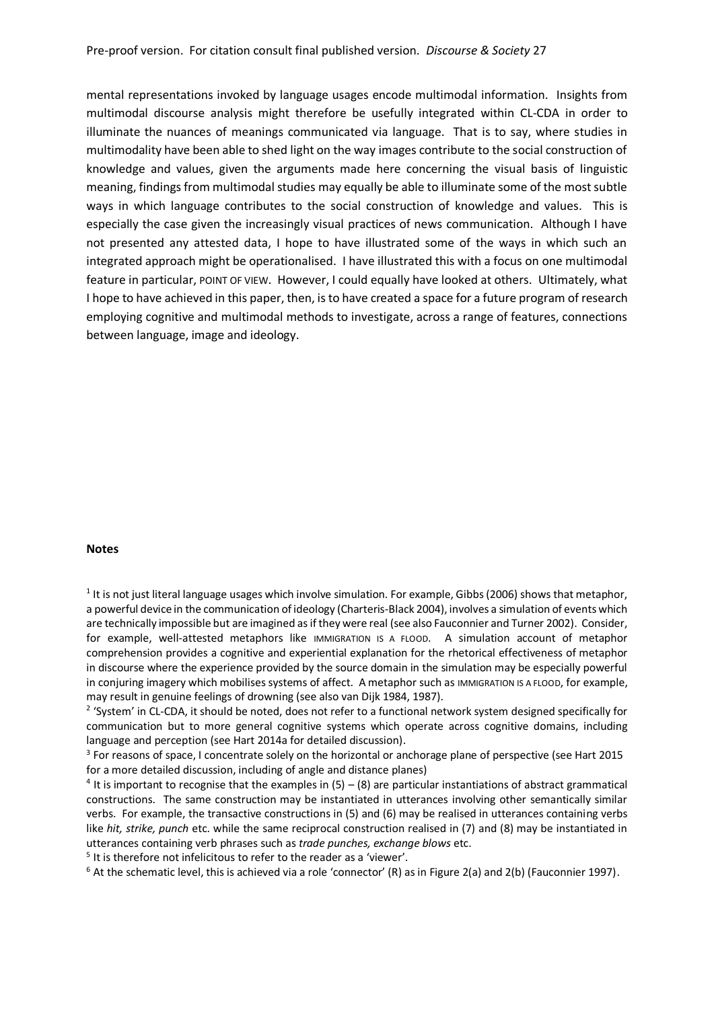mental representations invoked by language usages encode multimodal information. Insights from multimodal discourse analysis might therefore be usefully integrated within CL-CDA in order to illuminate the nuances of meanings communicated via language. That is to say, where studies in multimodality have been able to shed light on the way images contribute to the social construction of knowledge and values, given the arguments made here concerning the visual basis of linguistic meaning, findings from multimodal studies may equally be able to illuminate some of the most subtle ways in which language contributes to the social construction of knowledge and values. This is especially the case given the increasingly visual practices of news communication. Although I have not presented any attested data, I hope to have illustrated some of the ways in which such an integrated approach might be operationalised. I have illustrated this with a focus on one multimodal feature in particular, POINT OF VIEW. However, I could equally have looked at others. Ultimately, what I hope to have achieved in this paper, then, is to have created a space for a future program of research employing cognitive and multimodal methods to investigate, across a range of features, connections between language, image and ideology.

#### **Notes**

 $<sup>1</sup>$  It is not just literal language usages which involve simulation. For example, Gibbs (2006) shows that metaphor,</sup> a powerful device in the communication of ideology (Charteris-Black 2004), involves a simulation of events which are technically impossible but are imagined as if they were real (see also Fauconnier and Turner 2002). Consider, for example, well-attested metaphors like IMMIGRATION IS A FLOOD. A simulation account of metaphor comprehension provides a cognitive and experiential explanation for the rhetorical effectiveness of metaphor in discourse where the experience provided by the source domain in the simulation may be especially powerful in conjuring imagery which mobilises systems of affect. A metaphor such as IMMIGRATION IS A FLOOD, for example, may result in genuine feelings of drowning (see also van Dijk 1984, 1987).

<sup>2</sup> 'System' in CL-CDA, it should be noted, does not refer to a functional network system designed specifically for communication but to more general cognitive systems which operate across cognitive domains, including language and perception (see Hart 2014a for detailed discussion).

<sup>3</sup> For reasons of space, I concentrate solely on the horizontal or anchorage plane of perspective (see Hart 2015 for a more detailed discussion, including of angle and distance planes)

 $4$  It is important to recognise that the examples in (5) – (8) are particular instantiations of abstract grammatical constructions. The same construction may be instantiated in utterances involving other semantically similar verbs. For example, the transactive constructions in (5) and (6) may be realised in utterances containing verbs like *hit, strike, punch* etc. while the same reciprocal construction realised in (7) and (8) may be instantiated in utterances containing verb phrases such as *trade punches, exchange blows* etc.

<sup>5</sup> It is therefore not infelicitous to refer to the reader as a 'viewer'.

 $6$  At the schematic level, this is achieved via a role 'connector' (R) as in Figure 2(a) and 2(b) (Fauconnier 1997).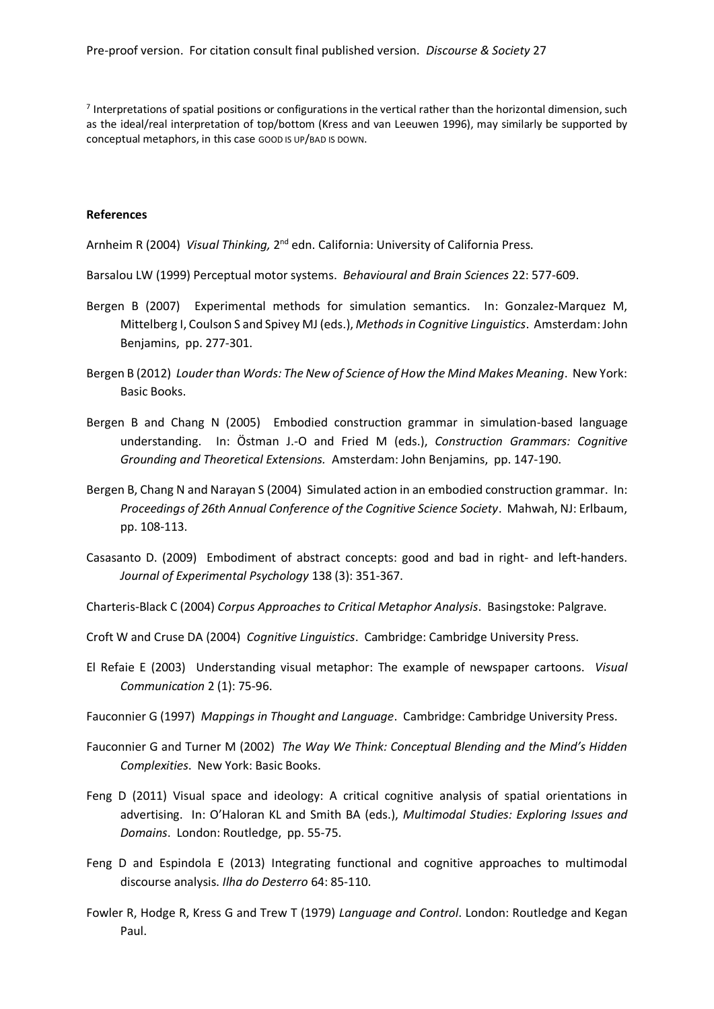$<sup>7</sup>$  Interpretations of spatial positions or configurations in the vertical rather than the horizontal dimension, such</sup> as the ideal/real interpretation of top/bottom (Kress and van Leeuwen 1996), may similarly be supported by conceptual metaphors, in this case GOOD IS UP/BAD IS DOWN.

#### **References**

Arnheim R (2004) Visual Thinking, 2<sup>nd</sup> edn. California: University of California Press.

- Barsalou LW (1999) Perceptual motor systems. *Behavioural and Brain Sciences* 22: 577-609.
- Bergen B (2007) Experimental methods for simulation semantics. In: Gonzalez-Marquez M, Mittelberg I, Coulson S and Spivey MJ (eds.), *Methods in Cognitive Linguistics*. Amsterdam: John Benjamins, pp. 277-301.
- Bergen B (2012) *Louder than Words: The New of Science of How the Mind Makes Meaning*. New York: Basic Books.
- Bergen B and Chang N (2005) Embodied construction grammar in simulation-based language understanding. In: Östman J.-O and Fried M (eds.), *Construction Grammars: Cognitive Grounding and Theoretical Extensions.* Amsterdam: John Benjamins, pp. 147-190.
- Bergen B, Chang N and Narayan S (2004) Simulated action in an embodied construction grammar. In: *Proceedings of 26th Annual Conference of the Cognitive Science Society*. Mahwah, NJ: Erlbaum, pp. 108-113.
- Casasanto D. (2009) Embodiment of abstract concepts: good and bad in right- and left-handers. *Journal of Experimental Psychology* 138 (3): 351-367.

Charteris-Black C (2004) *Corpus Approaches to Critical Metaphor Analysis*. Basingstoke: Palgrave.

- Croft W and Cruse DA (2004) *Cognitive Linguistics*. Cambridge: Cambridge University Press.
- El Refaie E (2003) Understanding visual metaphor: The example of newspaper cartoons. *Visual Communication* 2 (1): 75-96.
- Fauconnier G (1997) *Mappings in Thought and Language*. Cambridge: Cambridge University Press.
- Fauconnier G and Turner M (2002) *The Way We Think: Conceptual Blending and the Mind's Hidden Complexities*. New York: Basic Books.
- Feng D (2011) Visual space and ideology: A critical cognitive analysis of spatial orientations in advertising. In: O'Haloran KL and Smith BA (eds.), *Multimodal Studies: Exploring Issues and Domains*. London: Routledge, pp. 55-75.
- Feng D and Espindola E (2013) Integrating functional and cognitive approaches to multimodal discourse analysis. *Ilha do Desterro* 64: 85-110.
- Fowler R, Hodge R, Kress G and Trew T (1979) *Language and Control*. London: Routledge and Kegan Paul.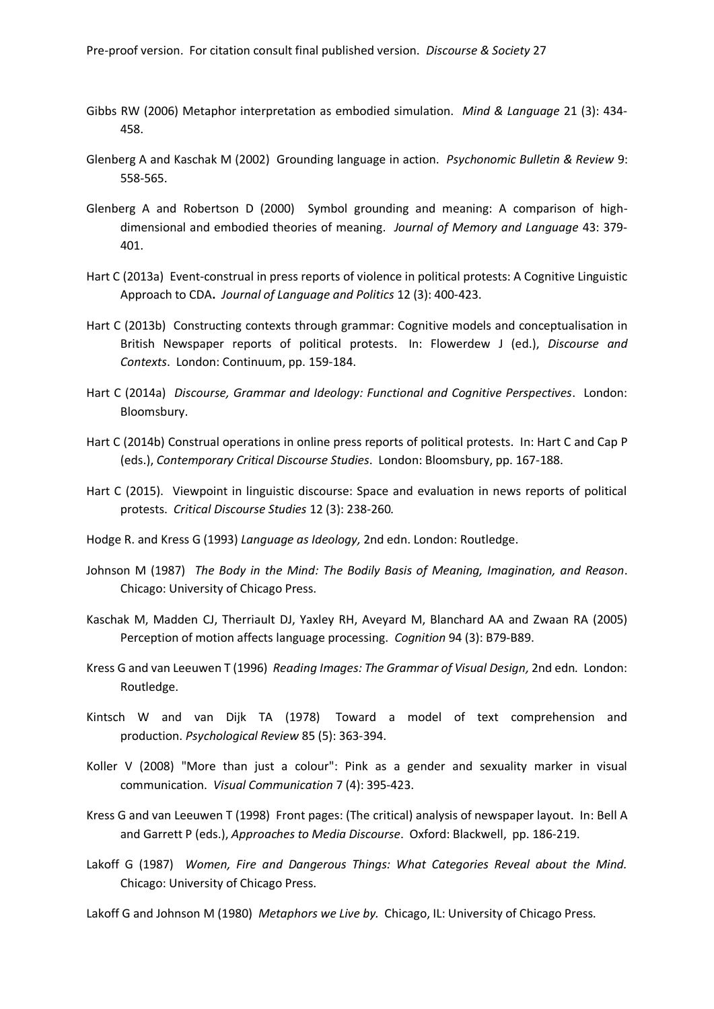- Gibbs RW (2006) Metaphor interpretation as embodied simulation. *Mind & Language* 21 (3): 434- 458.
- Glenberg A and Kaschak M (2002) Grounding language in action. *Psychonomic Bulletin & Review* 9: 558-565.
- Glenberg A and Robertson D (2000) Symbol grounding and meaning: A comparison of highdimensional and embodied theories of meaning. *Journal of Memory and Language* 43: 379- 401.
- Hart C (2013a) Event-construal in press reports of violence in political protests: A Cognitive Linguistic Approach to CDA**.** *Journal of Language and Politics* 12 (3): 400-423.
- Hart C (2013b) Constructing contexts through grammar: Cognitive models and conceptualisation in British Newspaper reports of political protests. In: Flowerdew J (ed.), *Discourse and Contexts*. London: Continuum, pp. 159-184.
- Hart C (2014a) *Discourse, Grammar and Ideology: Functional and Cognitive Perspectives*. London: Bloomsbury.
- Hart C (2014b) Construal operations in online press reports of political protests. In: Hart C and Cap P (eds.), *Contemporary Critical Discourse Studies*. London: Bloomsbury, pp. 167-188.
- Hart C (2015). Viewpoint in linguistic discourse: Space and evaluation in news reports of political protests. *Critical Discourse Studies* 12 (3): 238-260*.*
- Hodge R. and Kress G (1993) *Language as Ideology,* 2nd edn. London: Routledge.
- Johnson M (1987) *The Body in the Mind: The Bodily Basis of Meaning, Imagination, and Reason*. Chicago: University of Chicago Press.
- Kaschak M, Madden CJ, Therriault DJ, Yaxley RH, Aveyard M, Blanchard AA and Zwaan RA (2005) Perception of motion affects language processing. *Cognition* 94 (3): B79-B89.
- Kress G and van Leeuwen T (1996) *Reading Images: The Grammar of Visual Design,* 2nd edn*.* London: Routledge.
- Kintsch W and van Dijk TA (1978) Toward a model of text comprehension and production. *Psychological Review* 85 (5): 363-394.
- Koller V (2008) "More than just a colour": Pink as a gender and sexuality marker in visual communication.*Visual Communication* 7 (4): 395-423.
- Kress G and van Leeuwen T (1998) Front pages: (The critical) analysis of newspaper layout. In: Bell A and Garrett P (eds.), *Approaches to Media Discourse*. Oxford: Blackwell, pp. 186-219.
- Lakoff G (1987) *Women, Fire and Dangerous Things: What Categories Reveal about the Mind.* Chicago: University of Chicago Press.

Lakoff G and Johnson M (1980) *Metaphors we Live by.* Chicago, IL: University of Chicago Press.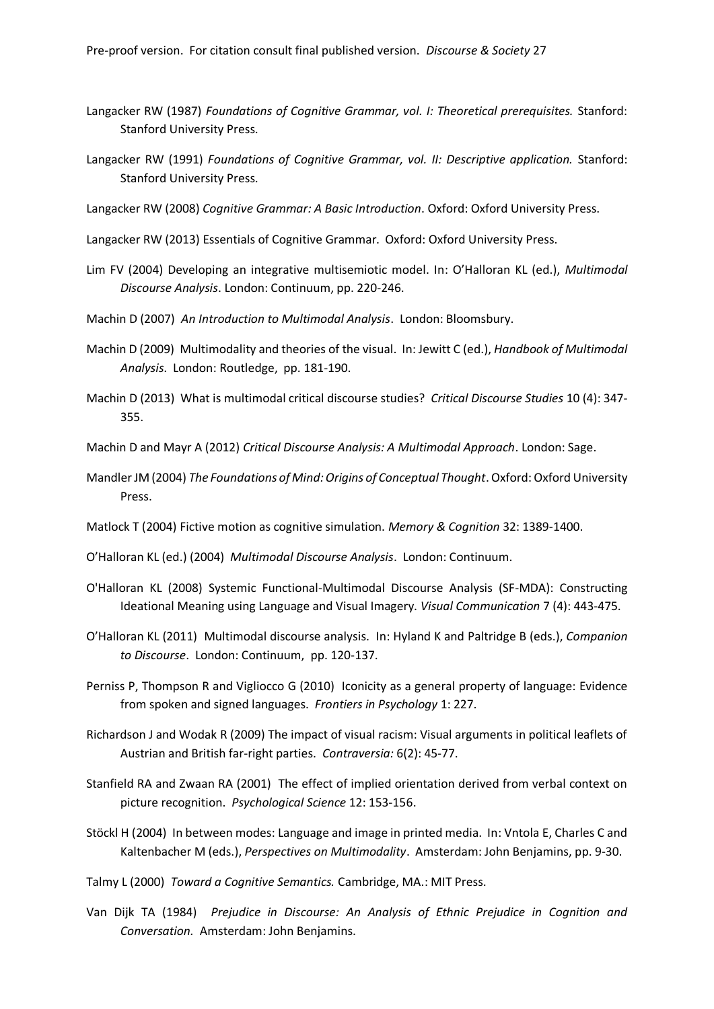- Langacker RW (1987) *Foundations of Cognitive Grammar, vol. I: Theoretical prerequisites.* Stanford: Stanford University Press.
- Langacker RW (1991) *Foundations of Cognitive Grammar, vol. II: Descriptive application.* Stanford: Stanford University Press.
- Langacker RW (2008) *Cognitive Grammar: A Basic Introduction*. Oxford: Oxford University Press.
- Langacker RW (2013) Essentials of Cognitive Grammar. Oxford: Oxford University Press.
- Lim FV (2004) Developing an integrative multisemiotic model. In: O'Halloran KL (ed.), *Multimodal Discourse Analysis*. London: Continuum, pp. 220-246.
- Machin D (2007) *An Introduction to Multimodal Analysis*. London: Bloomsbury.
- Machin D (2009) Multimodality and theories of the visual. In: Jewitt C (ed.), *Handbook of Multimodal Analysis*. London: Routledge, pp. 181-190.
- Machin D (2013) What is multimodal critical discourse studies? *Critical Discourse Studies* 10 (4): 347- 355.

Machin D and Mayr A (2012) *Critical Discourse Analysis: A Multimodal Approach*. London: Sage.

- Mandler JM (2004) *The Foundations of Mind: Origins of Conceptual Thought*. Oxford: Oxford University Press.
- Matlock T (2004) Fictive motion as cognitive simulation. *Memory & Cognition* 32: 1389-1400.

O'Halloran KL (ed.) (2004) *Multimodal Discourse Analysis*. London: Continuum.

- O'Halloran KL (2008) Systemic Functional-Multimodal Discourse Analysis (SF-MDA): Constructing Ideational Meaning using Language and Visual Imagery. *Visual Communication* 7 (4): 443-475.
- O'Halloran KL (2011) Multimodal discourse analysis. In: Hyland K and Paltridge B (eds.), *Companion to Discourse*. London: Continuum, pp. 120-137.
- Perniss P, Thompson R and Vigliocco G (2010) Iconicity as a general property of language: Evidence from spoken and signed languages. *Frontiers in Psychology* 1: 227.
- Richardson J and Wodak R (2009) The impact of visual racism: Visual arguments in political leaflets of Austrian and British far-right parties. *Contraversia:* 6(2): 45-77.
- Stanfield RA and Zwaan RA (2001) The effect of implied orientation derived from verbal context on picture recognition. *Psychological Science* 12: 153-156.
- Stöckl H (2004) In between modes: Language and image in printed media. In: Vntola E, Charles C and Kaltenbacher M (eds.), *Perspectives on Multimodality*. Amsterdam: John Benjamins, pp. 9-30.
- Talmy L (2000) *Toward a Cognitive Semantics.* Cambridge, MA.: MIT Press.
- Van Dijk TA (1984) *Prejudice in Discourse: An Analysis of Ethnic Prejudice in Cognition and Conversation.* Amsterdam: John Benjamins.